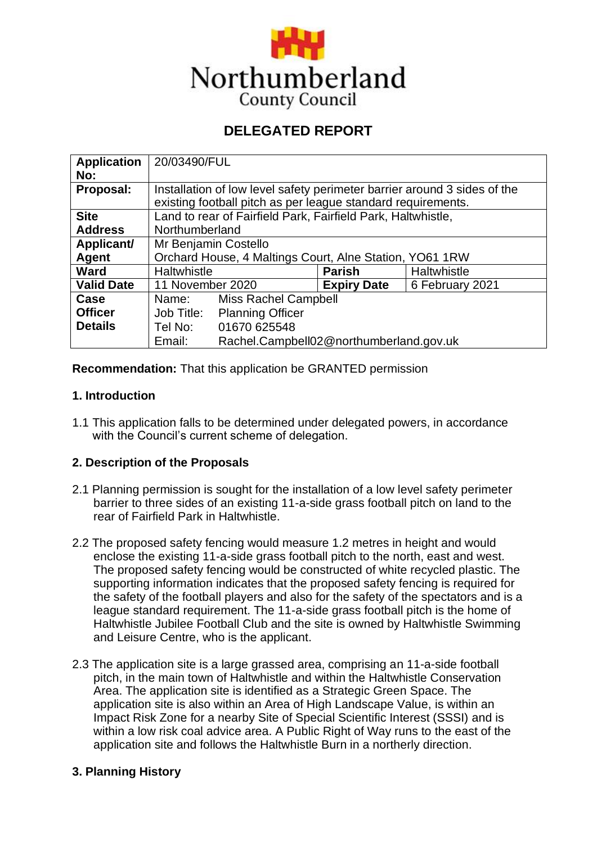

# **DELEGATED REPORT**

| <b>Application</b> | 20/03490/FUL                                                             |                                         |                    |                 |  |
|--------------------|--------------------------------------------------------------------------|-----------------------------------------|--------------------|-----------------|--|
| No:                |                                                                          |                                         |                    |                 |  |
| Proposal:          | Installation of low level safety perimeter barrier around 3 sides of the |                                         |                    |                 |  |
|                    | existing football pitch as per league standard requirements.             |                                         |                    |                 |  |
| <b>Site</b>        | Land to rear of Fairfield Park, Fairfield Park, Haltwhistle,             |                                         |                    |                 |  |
| <b>Address</b>     | Northumberland                                                           |                                         |                    |                 |  |
| Applicant/         | Mr Benjamin Costello                                                     |                                         |                    |                 |  |
| <b>Agent</b>       | Orchard House, 4 Maltings Court, Alne Station, YO61 1RW                  |                                         |                    |                 |  |
| <b>Ward</b>        | <b>Haltwhistle</b>                                                       |                                         | <b>Parish</b>      | Haltwhistle     |  |
| <b>Valid Date</b>  | 11 November 2020                                                         |                                         | <b>Expiry Date</b> | 6 February 2021 |  |
| Case               | Name:                                                                    | <b>Miss Rachel Campbell</b>             |                    |                 |  |
| <b>Officer</b>     | Job Title:                                                               | <b>Planning Officer</b>                 |                    |                 |  |
| <b>Details</b>     | Tel No:                                                                  | 01670 625548                            |                    |                 |  |
|                    | Email:                                                                   | Rachel.Campbell02@northumberland.gov.uk |                    |                 |  |

**Recommendation:** That this application be GRANTED permission

# **1. Introduction**

1.1 This application falls to be determined under delegated powers, in accordance with the Council's current scheme of delegation.

# **2. Description of the Proposals**

- 2.1 Planning permission is sought for the installation of a low level safety perimeter barrier to three sides of an existing 11-a-side grass football pitch on land to the rear of Fairfield Park in Haltwhistle.
- 2.2 The proposed safety fencing would measure 1.2 metres in height and would enclose the existing 11-a-side grass football pitch to the north, east and west. The proposed safety fencing would be constructed of white recycled plastic. The supporting information indicates that the proposed safety fencing is required for the safety of the football players and also for the safety of the spectators and is a league standard requirement. The 11-a-side grass football pitch is the home of Haltwhistle Jubilee Football Club and the site is owned by Haltwhistle Swimming and Leisure Centre, who is the applicant.
- 2.3 The application site is a large grassed area, comprising an 11-a-side football pitch, in the main town of Haltwhistle and within the Haltwhistle Conservation Area. The application site is identified as a Strategic Green Space. The application site is also within an Area of High Landscape Value, is within an Impact Risk Zone for a nearby Site of Special Scientific Interest (SSSI) and is within a low risk coal advice area. A Public Right of Way runs to the east of the application site and follows the Haltwhistle Burn in a northerly direction.

# **3. Planning History**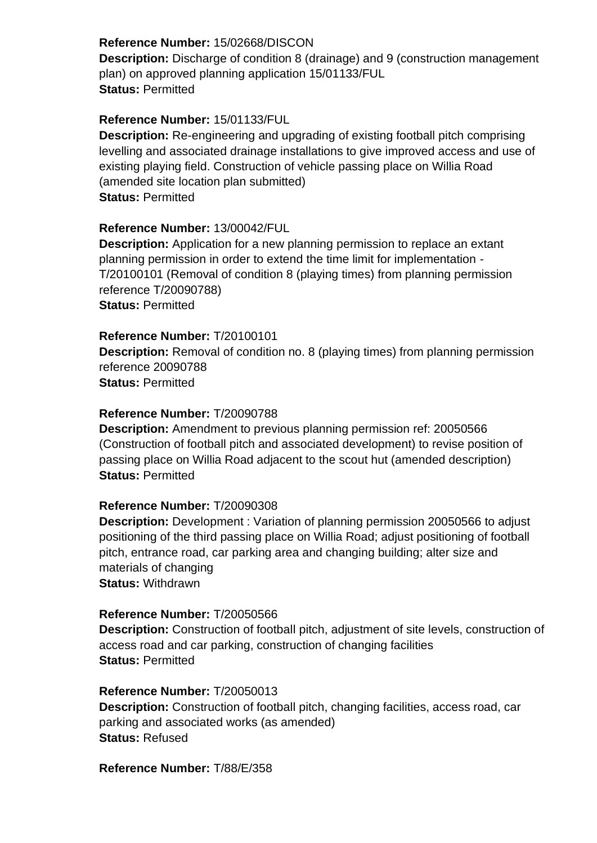# **Reference Number:** 15/02668/DISCON

**Description:** Discharge of condition 8 (drainage) and 9 (construction management plan) on approved planning application 15/01133/FUL **Status:** Permitted

# **Reference Number:** 15/01133/FUL

**Description:** Re-engineering and upgrading of existing football pitch comprising levelling and associated drainage installations to give improved access and use of existing playing field. Construction of vehicle passing place on Willia Road (amended site location plan submitted) **Status:** Permitted

# **Reference Number:** 13/00042/FUL

**Description:** Application for a new planning permission to replace an extant planning permission in order to extend the time limit for implementation - T/20100101 (Removal of condition 8 (playing times) from planning permission reference T/20090788) **Status:** Permitted

# **Reference Number:** T/20100101

**Description:** Removal of condition no. 8 (playing times) from planning permission reference 20090788 **Status:** Permitted

# **Reference Number:** T/20090788

**Description:** Amendment to previous planning permission ref: 20050566 (Construction of football pitch and associated development) to revise position of passing place on Willia Road adjacent to the scout hut (amended description) **Status:** Permitted

# **Reference Number:** T/20090308

**Description:** Development : Variation of planning permission 20050566 to adjust positioning of the third passing place on Willia Road; adjust positioning of football pitch, entrance road, car parking area and changing building; alter size and materials of changing **Status:** Withdrawn

# **Reference Number:** T/20050566

**Description:** Construction of football pitch, adjustment of site levels, construction of access road and car parking, construction of changing facilities **Status:** Permitted

# **Reference Number:** T/20050013

**Description:** Construction of football pitch, changing facilities, access road, car parking and associated works (as amended) **Status:** Refused

# **Reference Number:** T/88/E/358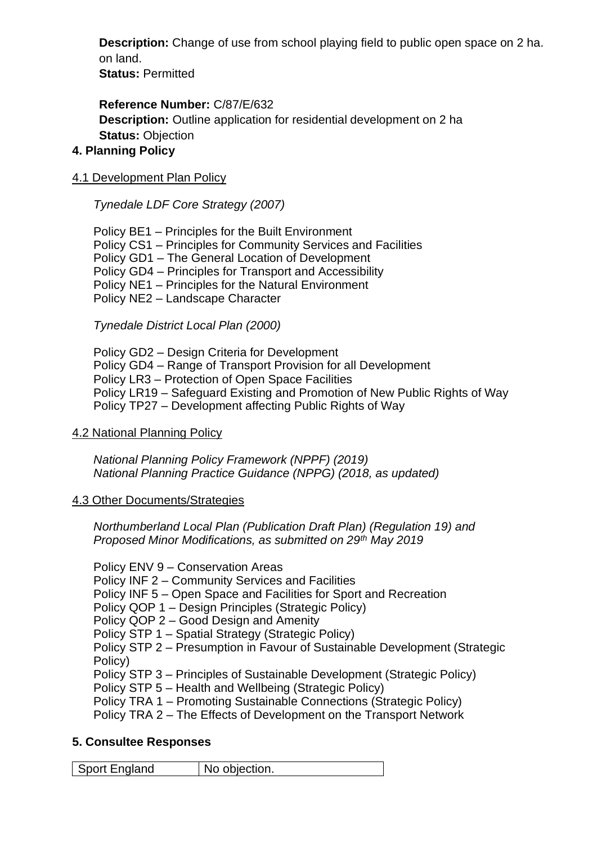**Description:** Change of use from school playing field to public open space on 2 ha. on land.

**Status:** Permitted

**Reference Number:** C/87/E/632 **Description:** Outline application for residential development on 2 ha **Status:** Objection

# **4. Planning Policy**

# 4.1 Development Plan Policy

*Tynedale LDF Core Strategy (2007)* 

Policy BE1 – Principles for the Built Environment Policy CS1 – Principles for Community Services and Facilities Policy GD1 – The General Location of Development Policy GD4 – Principles for Transport and Accessibility Policy NE1 – Principles for the Natural Environment Policy NE2 – Landscape Character

*Tynedale District Local Plan (2000)* 

Policy GD2 – Design Criteria for Development Policy GD4 – Range of Transport Provision for all Development Policy LR3 – Protection of Open Space Facilities Policy LR19 – Safeguard Existing and Promotion of New Public Rights of Way Policy TP27 – Development affecting Public Rights of Way

# 4.2 National Planning Policy

*National Planning Policy Framework (NPPF) (2019) National Planning Practice Guidance (NPPG) (2018, as updated)* 

# 4.3 Other Documents/Strategies

*Northumberland Local Plan (Publication Draft Plan) (Regulation 19) and Proposed Minor Modifications, as submitted on 29th May 2019* 

Policy ENV 9 – Conservation Areas

Policy INF 2 – Community Services and Facilities

Policy INF 5 – Open Space and Facilities for Sport and Recreation

Policy QOP 1 – Design Principles (Strategic Policy)

Policy QOP 2 – Good Design and Amenity

Policy STP 1 – Spatial Strategy (Strategic Policy)

Policy STP 2 – Presumption in Favour of Sustainable Development (Strategic Policy)

Policy STP 3 – Principles of Sustainable Development (Strategic Policy)

Policy STP 5 – Health and Wellbeing (Strategic Policy)

Policy TRA 1 – Promoting Sustainable Connections (Strategic Policy)

Policy TRA 2 – The Effects of Development on the Transport Network

# **5. Consultee Responses**

Sport England | No objection.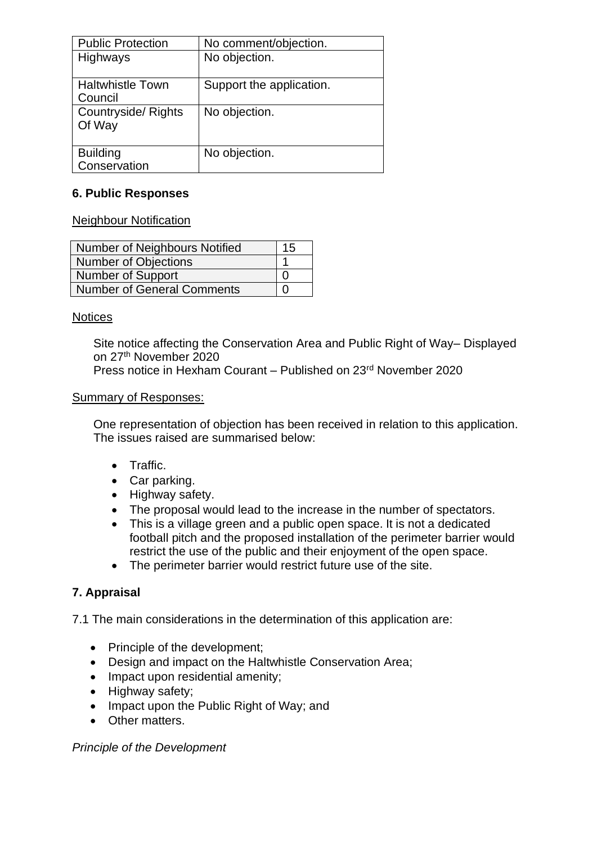| <b>Public Protection</b>           | No comment/objection.    |
|------------------------------------|--------------------------|
| Highways                           | No objection.            |
| <b>Haltwhistle Town</b><br>Council | Support the application. |
| Countryside/Rights<br>Of Way       | No objection.            |
| <b>Building</b><br>Conservation    | No objection.            |

# **6. Public Responses**

Neighbour Notification

| Number of Neighbours Notified     | 15 |
|-----------------------------------|----|
| Number of Objections              |    |
| <b>Number of Support</b>          |    |
| <b>Number of General Comments</b> |    |

# **Notices**

Site notice affecting the Conservation Area and Public Right of Way– Displayed on 27th November 2020 Press notice in Hexham Courant – Published on 23rd November 2020

#### Summary of Responses:

One representation of objection has been received in relation to this application. The issues raised are summarised below:

- Traffic.
- Car parking.
- Highway safety.
- The proposal would lead to the increase in the number of spectators.
- This is a village green and a public open space. It is not a dedicated football pitch and the proposed installation of the perimeter barrier would restrict the use of the public and their enjoyment of the open space.
- The perimeter barrier would restrict future use of the site.

# **7. Appraisal**

7.1 The main considerations in the determination of this application are:

- Principle of the development;
- Design and impact on the Haltwhistle Conservation Area;
- Impact upon residential amenity;
- Highway safety;
- Impact upon the Public Right of Way; and
- Other matters.

# *Principle of the Development*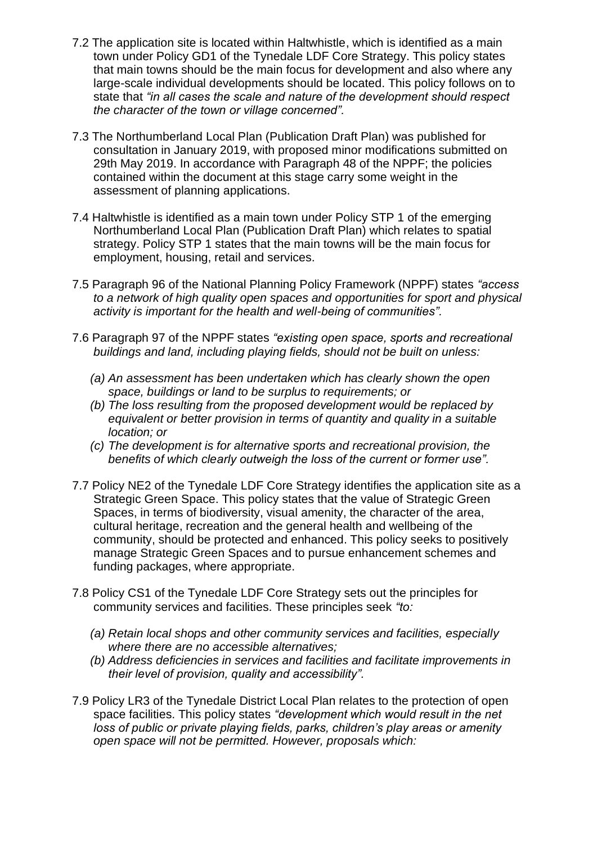- 7.2 The application site is located within Haltwhistle, which is identified as a main town under Policy GD1 of the Tynedale LDF Core Strategy. This policy states that main towns should be the main focus for development and also where any large-scale individual developments should be located. This policy follows on to state that *"in all cases the scale and nature of the development should respect the character of the town or village concerned".*
- 7.3 The Northumberland Local Plan (Publication Draft Plan) was published for consultation in January 2019, with proposed minor modifications submitted on 29th May 2019. In accordance with Paragraph 48 of the NPPF; the policies contained within the document at this stage carry some weight in the assessment of planning applications.
- 7.4 Haltwhistle is identified as a main town under Policy STP 1 of the emerging Northumberland Local Plan (Publication Draft Plan) which relates to spatial strategy. Policy STP 1 states that the main towns will be the main focus for employment, housing, retail and services.
- 7.5 Paragraph 96 of the National Planning Policy Framework (NPPF) states *"access to a network of high quality open spaces and opportunities for sport and physical activity is important for the health and well-being of communities".*
- 7.6 Paragraph 97 of the NPPF states *"existing open space, sports and recreational buildings and land, including playing fields, should not be built on unless:* 
	- *(a) An assessment has been undertaken which has clearly shown the open space, buildings or land to be surplus to requirements; or*
	- *(b) The loss resulting from the proposed development would be replaced by equivalent or better provision in terms of quantity and quality in a suitable location; or*
	- *(c) The development is for alternative sports and recreational provision, the benefits of which clearly outweigh the loss of the current or former use".*
- 7.7 Policy NE2 of the Tynedale LDF Core Strategy identifies the application site as a Strategic Green Space. This policy states that the value of Strategic Green Spaces, in terms of biodiversity, visual amenity, the character of the area, cultural heritage, recreation and the general health and wellbeing of the community, should be protected and enhanced. This policy seeks to positively manage Strategic Green Spaces and to pursue enhancement schemes and funding packages, where appropriate.
- 7.8 Policy CS1 of the Tynedale LDF Core Strategy sets out the principles for community services and facilities. These principles seek *"to:* 
	- *(a) Retain local shops and other community services and facilities, especially where there are no accessible alternatives;*
	- *(b) Address deficiencies in services and facilities and facilitate improvements in their level of provision, quality and accessibility".*
- 7.9 Policy LR3 of the Tynedale District Local Plan relates to the protection of open space facilities. This policy states *"development which would result in the net loss of public or private playing fields, parks, children's play areas or amenity open space will not be permitted. However, proposals which:*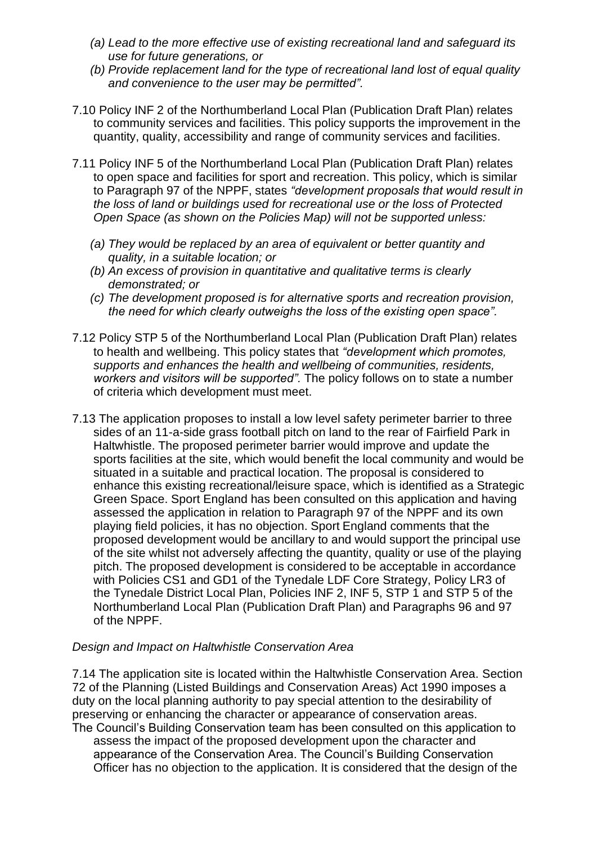- *(a) Lead to the more effective use of existing recreational land and safeguard its use for future generations, or*
- *(b) Provide replacement land for the type of recreational land lost of equal quality and convenience to the user may be permitted".*
- 7.10 Policy INF 2 of the Northumberland Local Plan (Publication Draft Plan) relates to community services and facilities. This policy supports the improvement in the quantity, quality, accessibility and range of community services and facilities.
- 7.11 Policy INF 5 of the Northumberland Local Plan (Publication Draft Plan) relates to open space and facilities for sport and recreation. This policy, which is similar to Paragraph 97 of the NPPF, states *"development proposals that would result in the loss of land or buildings used for recreational use or the loss of Protected Open Space (as shown on the Policies Map) will not be supported unless:* 
	- *(a) They would be replaced by an area of equivalent or better quantity and quality, in a suitable location; or*
	- *(b) An excess of provision in quantitative and qualitative terms is clearly demonstrated; or*
	- *(c) The development proposed is for alternative sports and recreation provision, the need for which clearly outweighs the loss of the existing open space".*
- 7.12 Policy STP 5 of the Northumberland Local Plan (Publication Draft Plan) relates to health and wellbeing. This policy states that *"development which promotes, supports and enhances the health and wellbeing of communities, residents, workers and visitors will be supported".* The policy follows on to state a number of criteria which development must meet.
- 7.13 The application proposes to install a low level safety perimeter barrier to three sides of an 11-a-side grass football pitch on land to the rear of Fairfield Park in Haltwhistle. The proposed perimeter barrier would improve and update the sports facilities at the site, which would benefit the local community and would be situated in a suitable and practical location. The proposal is considered to enhance this existing recreational/leisure space, which is identified as a Strategic Green Space. Sport England has been consulted on this application and having assessed the application in relation to Paragraph 97 of the NPPF and its own playing field policies, it has no objection. Sport England comments that the proposed development would be ancillary to and would support the principal use of the site whilst not adversely affecting the quantity, quality or use of the playing pitch. The proposed development is considered to be acceptable in accordance with Policies CS1 and GD1 of the Tynedale LDF Core Strategy, Policy LR3 of the Tynedale District Local Plan, Policies INF 2, INF 5, STP 1 and STP 5 of the Northumberland Local Plan (Publication Draft Plan) and Paragraphs 96 and 97 of the NPPF.

# *Design and Impact on Haltwhistle Conservation Area*

7.14 The application site is located within the Haltwhistle Conservation Area. Section 72 of the Planning (Listed Buildings and Conservation Areas) Act 1990 imposes a duty on the local planning authority to pay special attention to the desirability of preserving or enhancing the character or appearance of conservation areas. The Council's Building Conservation team has been consulted on this application to

assess the impact of the proposed development upon the character and appearance of the Conservation Area. The Council's Building Conservation Officer has no objection to the application. It is considered that the design of the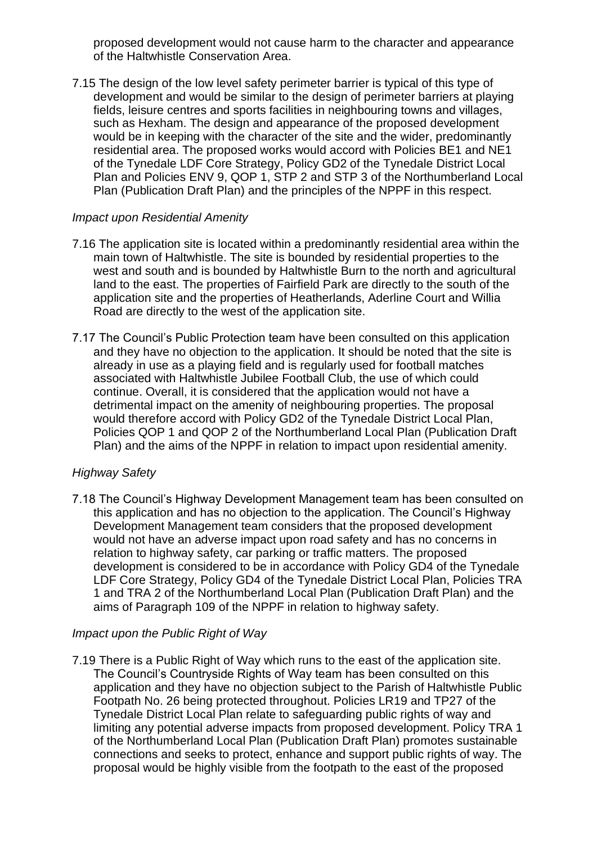proposed development would not cause harm to the character and appearance of the Haltwhistle Conservation Area.

7.15 The design of the low level safety perimeter barrier is typical of this type of development and would be similar to the design of perimeter barriers at playing fields, leisure centres and sports facilities in neighbouring towns and villages, such as Hexham. The design and appearance of the proposed development would be in keeping with the character of the site and the wider, predominantly residential area. The proposed works would accord with Policies BE1 and NE1 of the Tynedale LDF Core Strategy, Policy GD2 of the Tynedale District Local Plan and Policies ENV 9, QOP 1, STP 2 and STP 3 of the Northumberland Local Plan (Publication Draft Plan) and the principles of the NPPF in this respect.

# *Impact upon Residential Amenity*

- 7.16 The application site is located within a predominantly residential area within the main town of Haltwhistle. The site is bounded by residential properties to the west and south and is bounded by Haltwhistle Burn to the north and agricultural land to the east. The properties of Fairfield Park are directly to the south of the application site and the properties of Heatherlands, Aderline Court and Willia Road are directly to the west of the application site.
- 7.17 The Council's Public Protection team have been consulted on this application and they have no objection to the application. It should be noted that the site is already in use as a playing field and is regularly used for football matches associated with Haltwhistle Jubilee Football Club, the use of which could continue. Overall, it is considered that the application would not have a detrimental impact on the amenity of neighbouring properties. The proposal would therefore accord with Policy GD2 of the Tynedale District Local Plan, Policies QOP 1 and QOP 2 of the Northumberland Local Plan (Publication Draft Plan) and the aims of the NPPF in relation to impact upon residential amenity.

# *Highway Safety*

7.18 The Council's Highway Development Management team has been consulted on this application and has no objection to the application. The Council's Highway Development Management team considers that the proposed development would not have an adverse impact upon road safety and has no concerns in relation to highway safety, car parking or traffic matters. The proposed development is considered to be in accordance with Policy GD4 of the Tynedale LDF Core Strategy, Policy GD4 of the Tynedale District Local Plan, Policies TRA 1 and TRA 2 of the Northumberland Local Plan (Publication Draft Plan) and the aims of Paragraph 109 of the NPPF in relation to highway safety.

# *Impact upon the Public Right of Way*

7.19 There is a Public Right of Way which runs to the east of the application site. The Council's Countryside Rights of Way team has been consulted on this application and they have no objection subject to the Parish of Haltwhistle Public Footpath No. 26 being protected throughout. Policies LR19 and TP27 of the Tynedale District Local Plan relate to safeguarding public rights of way and limiting any potential adverse impacts from proposed development. Policy TRA 1 of the Northumberland Local Plan (Publication Draft Plan) promotes sustainable connections and seeks to protect, enhance and support public rights of way. The proposal would be highly visible from the footpath to the east of the proposed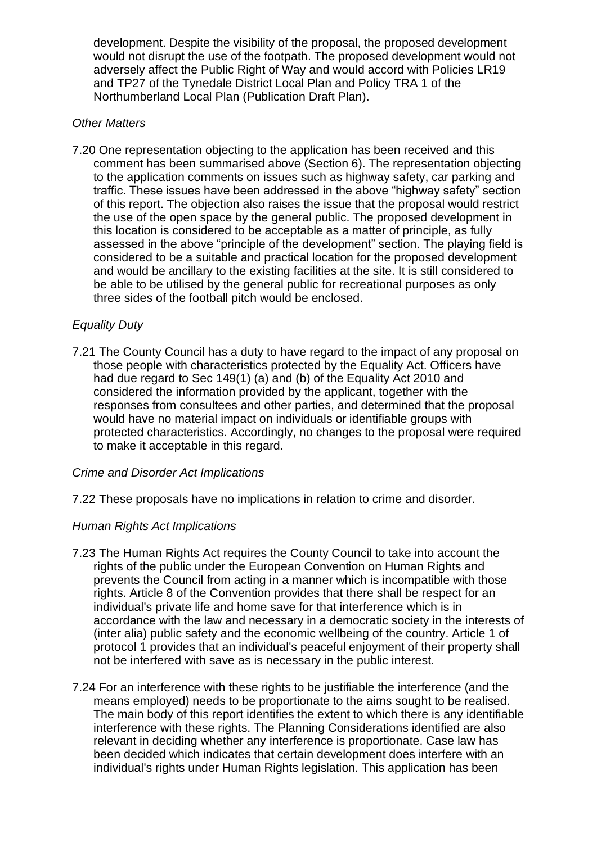development. Despite the visibility of the proposal, the proposed development would not disrupt the use of the footpath. The proposed development would not adversely affect the Public Right of Way and would accord with Policies LR19 and TP27 of the Tynedale District Local Plan and Policy TRA 1 of the Northumberland Local Plan (Publication Draft Plan).

# *Other Matters*

7.20 One representation objecting to the application has been received and this comment has been summarised above (Section 6). The representation objecting to the application comments on issues such as highway safety, car parking and traffic. These issues have been addressed in the above "highway safety" section of this report. The objection also raises the issue that the proposal would restrict the use of the open space by the general public. The proposed development in this location is considered to be acceptable as a matter of principle, as fully assessed in the above "principle of the development" section. The playing field is considered to be a suitable and practical location for the proposed development and would be ancillary to the existing facilities at the site. It is still considered to be able to be utilised by the general public for recreational purposes as only three sides of the football pitch would be enclosed.

# *Equality Duty*

7.21 The County Council has a duty to have regard to the impact of any proposal on those people with characteristics protected by the Equality Act. Officers have had due regard to Sec 149(1) (a) and (b) of the Equality Act 2010 and considered the information provided by the applicant, together with the responses from consultees and other parties, and determined that the proposal would have no material impact on individuals or identifiable groups with protected characteristics. Accordingly, no changes to the proposal were required to make it acceptable in this regard.

# *Crime and Disorder Act Implications*

7.22 These proposals have no implications in relation to crime and disorder.

# *Human Rights Act Implications*

- 7.23 The Human Rights Act requires the County Council to take into account the rights of the public under the European Convention on Human Rights and prevents the Council from acting in a manner which is incompatible with those rights. Article 8 of the Convention provides that there shall be respect for an individual's private life and home save for that interference which is in accordance with the law and necessary in a democratic society in the interests of (inter alia) public safety and the economic wellbeing of the country. Article 1 of protocol 1 provides that an individual's peaceful enjoyment of their property shall not be interfered with save as is necessary in the public interest.
- 7.24 For an interference with these rights to be justifiable the interference (and the means employed) needs to be proportionate to the aims sought to be realised. The main body of this report identifies the extent to which there is any identifiable interference with these rights. The Planning Considerations identified are also relevant in deciding whether any interference is proportionate. Case law has been decided which indicates that certain development does interfere with an individual's rights under Human Rights legislation. This application has been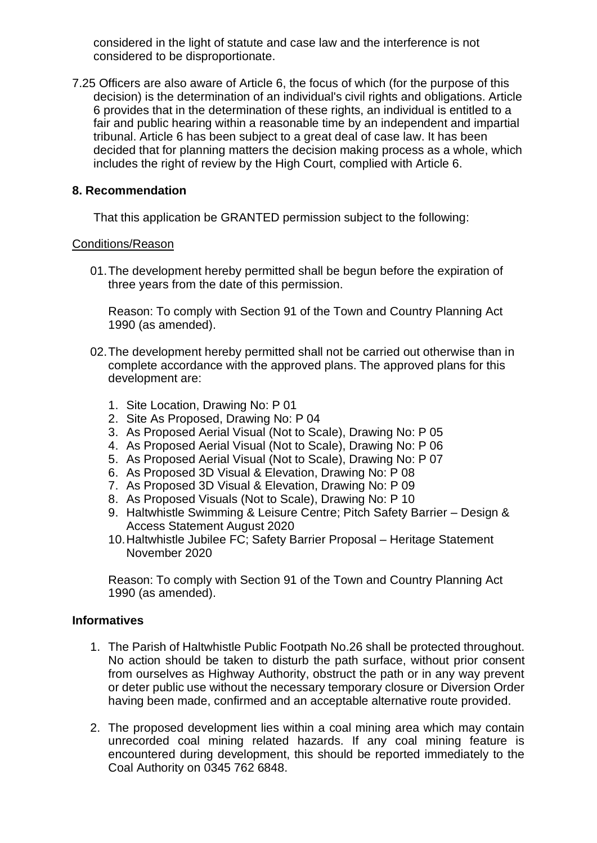considered in the light of statute and case law and the interference is not considered to be disproportionate.

7.25 Officers are also aware of Article 6, the focus of which (for the purpose of this decision) is the determination of an individual's civil rights and obligations. Article 6 provides that in the determination of these rights, an individual is entitled to a fair and public hearing within a reasonable time by an independent and impartial tribunal. Article 6 has been subject to a great deal of case law. It has been decided that for planning matters the decision making process as a whole, which includes the right of review by the High Court, complied with Article 6.

#### **8. Recommendation**

That this application be GRANTED permission subject to the following:

#### Conditions/Reason

01.The development hereby permitted shall be begun before the expiration of three years from the date of this permission.

Reason: To comply with Section 91 of the Town and Country Planning Act 1990 (as amended).

- 02.The development hereby permitted shall not be carried out otherwise than in complete accordance with the approved plans. The approved plans for this development are:
	- 1. Site Location, Drawing No: P 01
	- 2. Site As Proposed, Drawing No: P 04
	- 3. As Proposed Aerial Visual (Not to Scale), Drawing No: P 05
	- 4. As Proposed Aerial Visual (Not to Scale), Drawing No: P 06
	- 5. As Proposed Aerial Visual (Not to Scale), Drawing No: P 07
	- 6. As Proposed 3D Visual & Elevation, Drawing No: P 08
	- 7. As Proposed 3D Visual & Elevation, Drawing No: P 09
	- 8. As Proposed Visuals (Not to Scale), Drawing No: P 10
	- 9. Haltwhistle Swimming & Leisure Centre; Pitch Safety Barrier Design & Access Statement August 2020
	- 10.Haltwhistle Jubilee FC; Safety Barrier Proposal Heritage Statement November 2020

Reason: To comply with Section 91 of the Town and Country Planning Act 1990 (as amended).

#### **Informatives**

- 1. The Parish of Haltwhistle Public Footpath No.26 shall be protected throughout. No action should be taken to disturb the path surface, without prior consent from ourselves as Highway Authority, obstruct the path or in any way prevent or deter public use without the necessary temporary closure or Diversion Order having been made, confirmed and an acceptable alternative route provided.
- 2. The proposed development lies within a coal mining area which may contain unrecorded coal mining related hazards. If any coal mining feature is encountered during development, this should be reported immediately to the Coal Authority on 0345 762 6848.